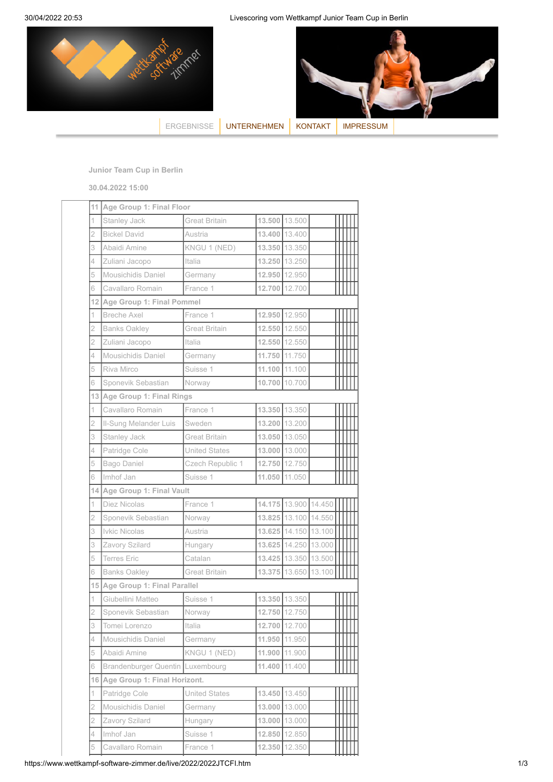30/04/2022 20:53 Livescoring vom Wettkampf Junior Team Cup in Berlin





[ERGEBNISSE](https://www.wettkampf-software-zimmer.de/livescoring-manager.htm) [UNTERNEHMEN](https://www.wettkampf-software-zimmer.de/unternehmen.htm) [KONTAKT](https://www.wettkampf-software-zimmer.de/kontakt.htm) MPRESSUM

**Junior Team Cup in Berlin**

**30.04.2022 15:00**

| 11             | Age Group 1: Final Floor     |                      |        |                      |  |  |  |
|----------------|------------------------------|----------------------|--------|----------------------|--|--|--|
| 1              | Stanley Jack                 | Great Britain        |        | 13.500 13.500        |  |  |  |
| $\overline{2}$ | <b>Bickel David</b>          | Austria              | 13,400 | 13.400               |  |  |  |
| 3              | Abaidi Amine                 | KNGU 1 (NED)         |        | 13.350 13.350        |  |  |  |
| 4              | Zuliani Jacopo               | Italia               |        | 13.250 13.250        |  |  |  |
| 5              | Mousichidis Daniel           | Germany              |        | 12.950 12.950        |  |  |  |
| 6              | Cavallaro Romain             | France 1             | 12.700 | 12.700               |  |  |  |
| 121            | Age Group 1: Final Pommel    |                      |        |                      |  |  |  |
| 1              | <b>Breche Axel</b>           | France 1             | 12.950 | 12.950               |  |  |  |
| $\overline{2}$ | <b>Banks Oakley</b>          | <b>Great Britain</b> | 12.550 | 12.550               |  |  |  |
| $\overline{2}$ | Zuliani Jacopo               | Italia               |        | 12.550 12.550        |  |  |  |
| 4              | Mousichidis Daniel           | Germany              |        | 11.750 11.750        |  |  |  |
| 5              | Riva Mirco                   | Suisse 1             |        | 11.100 11.100        |  |  |  |
| 6              | Sponevik Sebastian           | Norway               | 10.700 | 10.700               |  |  |  |
| 131            | Age Group 1: Final Rings     |                      |        |                      |  |  |  |
| 1              | Cavallaro Romain             | France 1             |        | 13.350 13.350        |  |  |  |
| $\overline{2}$ | Il-Sung Melander Luis        | Sweden               |        | 13.200 13.200        |  |  |  |
| 3              | Stanley Jack                 | <b>Great Britain</b> |        | 13.050 13.050        |  |  |  |
| 4              | Patridge Cole                | <b>United States</b> |        | 13.000 13.000        |  |  |  |
| 5              | Bago Daniel                  | Czech Republic 1     | 12.750 | 12.750               |  |  |  |
| 6              | Imhof Jan                    | Suisse 1             | 11.050 | 11.050               |  |  |  |
| 141            | Age Group 1: Final Vault     |                      |        |                      |  |  |  |
| 1              | Diez Nicolas                 | France 1             |        | 14.175 13.900 14.450 |  |  |  |
| $\overline{2}$ | Sponevik Sebastian           | Norway               |        | 13.825 13.100 14.550 |  |  |  |
| 3              | Ivkic Nicolas                | Austria              |        | 13.625 14.150 13.100 |  |  |  |
| 3              | Zavory Szilard               | Hungary              |        | 13.625 14.250 13.000 |  |  |  |
| 5              | <b>Terres Eric</b>           | Catalan              |        | 13.425 13.350 13.500 |  |  |  |
| 6              | <b>Banks Oakley</b>          | Great Britain        |        | 13.375 13.650 13.100 |  |  |  |
|                |                              |                      |        |                      |  |  |  |
| 15             | Age Group 1: Final Parallel  |                      |        |                      |  |  |  |
| 1              | Giubellini Matteo            | Suisse 1             |        | 13.350 13.350        |  |  |  |
| $\overline{2}$ | Sponevik Sebastian           | Norway               |        | 12.750 12.750        |  |  |  |
| 3              | Tomei Lorenzo                | Italia               | 12.700 | 12.700               |  |  |  |
| 4              | Mousichidis Daniel           | Germany              | 11.950 | 11.950               |  |  |  |
| 5              | Abaidi Amine                 | KNGU 1 (NED)         | 11.900 | 11.900               |  |  |  |
| 6              | Brandenburger Quentin        | Luxembourg           | 11.400 | 11.400               |  |  |  |
| 16             | Age Group 1: Final Horizont. |                      |        |                      |  |  |  |
| 1              | Patridge Cole                | <b>United States</b> |        | 13.450 13.450        |  |  |  |
| 2              | Mousichidis Daniel           | Germany              | 13.000 | 13.000               |  |  |  |
| 2              | Zavory Szilard               | Hungary              | 13.000 | 13.000               |  |  |  |
| 4              | Imhof Jan                    | Suisse 1             | 12.850 | 12.850               |  |  |  |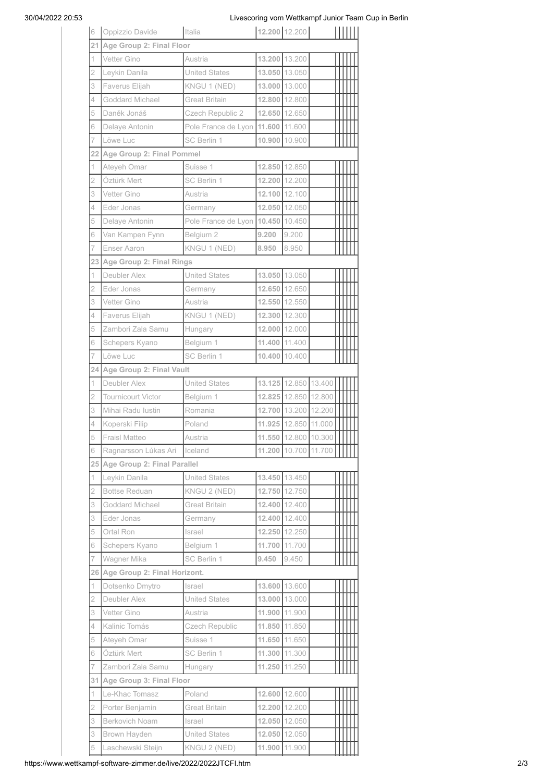## 30/04/2022 20:53 Livescoring vom Wettkampf Junior Team Cup in Berlin

| 6              | Oppizzio Davide              | Italia               | 12.200 12.200 |                      |                      |  |
|----------------|------------------------------|----------------------|---------------|----------------------|----------------------|--|
| 21             | Age Group 2: Final Floor     |                      |               |                      |                      |  |
| 1              | Vetter Gino                  | Austria              |               | 13.200 13.200        |                      |  |
| 2              | Leykin Danila                | <b>United States</b> |               | 13.050 13.050        |                      |  |
| 3              | Faverus Elijah               | KNGU 1 (NED)         |               | 13.000 13.000        |                      |  |
| 4              | Goddard Michael              | <b>Great Britain</b> |               | 12.800 12.800        |                      |  |
| 5              | Daněk Jonáš                  | Czech Republic 2     |               | 12.650 12.650        |                      |  |
| 6              | Delaye Antonin               | Pole France de Lyon  | 11.600        | 11.600               |                      |  |
| 7              | Löwe Luc                     | SC Berlin 1          |               | 10.900 10.900        |                      |  |
| 22             | Age Group 2: Final Pommel    |                      |               |                      |                      |  |
| 1              | Ateyeh Omar                  | Suisse 1             |               | 12.850 12.850        |                      |  |
| 2              | Öztürk Mert                  | SC Berlin 1          | 12.200        | 12.200               |                      |  |
| 3              | Vetter Gino                  | Austria              |               | 12.100 12.100        |                      |  |
| 4              | Eder Jonas                   | Germany              |               | 12.050 12.050        |                      |  |
| 5              | Delaye Antonin               | Pole France de Lyon  |               | 10.450 10.450        |                      |  |
| 6              | Van Kampen Fynn              | Belgium 2            | 9.200         | 9.200                |                      |  |
| 7              | <b>Enser Aaron</b>           |                      | 8.950         | 8.950                |                      |  |
|                |                              | KNGU 1 (NED)         |               |                      |                      |  |
| 23             | Age Group 2: Final Rings     |                      |               |                      |                      |  |
| 1              | Deubler Alex                 | <b>United States</b> |               | 13.050 13.050        |                      |  |
| 2              | Eder Jonas                   | Germany              |               | 12.650 12.650        |                      |  |
| 3              | Vetter Gino                  | Austria              |               | 12.550 12.550        |                      |  |
| 4              | Faverus Elijah               | KNGU 1 (NED)         |               | 12.300 12.300        |                      |  |
| 5              | Zambori Zala Samu            | Hungary              |               | 12.000 12.000        |                      |  |
| 6              | Schepers Kyano               | Belgium 1            | 11.400        | 11.400               |                      |  |
| 7              | Löwe Luc                     | SC Berlin 1          | 10.400        | 10.400               |                      |  |
| 24             | Age Group 2: Final Vault     |                      |               |                      |                      |  |
| 1              | Deubler Alex                 | <b>United States</b> |               | 13.125 12.850 13.400 |                      |  |
| $\overline{2}$ | <b>Tournicourt Victor</b>    | Belgium 1            |               | 12.825 12.850        | 12.800               |  |
| 3              | Mihai Radu Iustin            | Romania              |               | 12.700 13.200 12.200 |                      |  |
| 4              | Koperski Filip               | Poland               |               | 11.925 12.850 11.000 |                      |  |
| 5              | <b>Fraisl Matteo</b>         | Austria              |               |                      | 11.550 12.800 10.300 |  |
| 6              | Ragnarsson Lúkas Ari         | Iceland              | 11.200        | 10.700 11.700        |                      |  |
| 25 I           | Age Group 2: Final Parallel  |                      |               |                      |                      |  |
| 1.             | Leykin Danila                | <b>United States</b> |               | 13.450 13.450        |                      |  |
| $\overline{2}$ | <b>Bottse Reduan</b>         | KNGU 2 (NED)         | 12.750        | 12.750               |                      |  |
| 3              | Goddard Michael              | <b>Great Britain</b> | 12.400        | 12.400               |                      |  |
| 3              | Eder Jonas                   | Germany              |               | 12.400 12.400        |                      |  |
| 5              | Ortal Ron                    | Israel               | 12.250        | 12.250               |                      |  |
| 6              | Schepers Kyano               | Belgium 1            | 11.700        | 11.700               |                      |  |
| 7              | Wagner Mika                  | SC Berlin 1          | 9.450         | 9.450                |                      |  |
| 26             | Age Group 2: Final Horizont. |                      |               |                      |                      |  |
| 1              | Dotsenko Dmytro              | Israel               |               | 13.600 13.600        |                      |  |
| 2              | Deubler Alex                 | <b>United States</b> | 13,000        | 13.000               |                      |  |
| 3              | Vetter Gino                  | Austria              | 11.900        | 11.900               |                      |  |
| 4              | Kalinic Tomás                | Czech Republic       | 11.850        | 11.850               |                      |  |
| 5              | Ateyeh Omar                  | Suisse 1             | 11.650        | 11.650               |                      |  |
| 6              | Öztürk Mert                  | SC Berlin 1          | 11.300        | 11.300               |                      |  |
| 7              | Zambori Zala Samu            | Hungary              | 11.250        | 11.250               |                      |  |
| 31             | Age Group 3: Final Floor     |                      |               |                      |                      |  |
| 1              | Le-Khac Tomasz               | Poland               |               | 12.600 12.600        |                      |  |
| 2              | Porter Benjamin              | <b>Great Britain</b> |               | 12.200 12.200        |                      |  |
| 3              | Berkovich Noam               | Israel               | 12.050        | 12.050               |                      |  |
|                |                              |                      |               |                      |                      |  |
| 3              | Brown Hayden                 | <b>United States</b> | 12.050        | 12.050               |                      |  |
| 5              | Laschewski Steijn            | KNGU 2 (NED)         | 11.900        | 11.900               |                      |  |